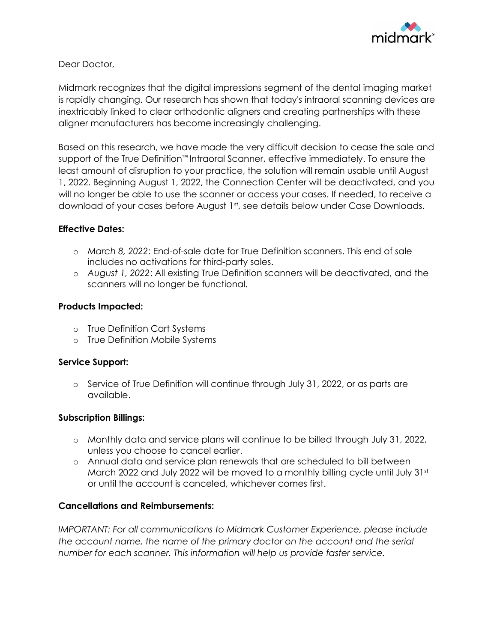

Dear Doctor,

Midmark recognizes that the digital impressions segment of the dental imaging market is rapidly changing. Our research has shown that today's intraoral scanning devices are inextricably linked to clear orthodontic aligners and creating partnerships with these aligner manufacturers has become increasingly challenging.

Based on this research, we have made the very difficult decision to cease the sale and support of the True Definition™ Intraoral Scanner, effective immediately. To ensure the least amount of disruption to your practice, the solution will remain usable until August 1, 2022. Beginning August 1, 2022, the Connection Center will be deactivated, and you will no longer be able to use the scanner or access your cases. If needed, to receive a download of your cases before August 1st, see details below under Case Downloads.

## **Effective Dates:**

- o *March 8, 2022*: End-of-sale date for True Definition scanners. This end of sale includes no activations for third-party sales.
- o *August 1, 2022*: All existing True Definition scanners will be deactivated, and the scanners will no longer be functional.

# **Products Impacted:**

- o True Definition Cart Systems
- o True Definition Mobile Systems

## **Service Support:**

o Service of True Definition will continue through July 31, 2022, or as parts are available.

## **Subscription Billings:**

- o Monthly data and service plans will continue to be billed through July 31, 2022, unless you choose to cancel earlier.
- o Annual data and service plan renewals that are scheduled to bill between March 2022 and July 2022 will be moved to a monthly billing cycle until July 31st or until the account is canceled, whichever comes first.

## **Cancellations and Reimbursements:**

*IMPORTANT: For all communications to Midmark Customer Experience, please include the account name, the name of the primary doctor on the account and the serial number for each scanner. This information will help us provide faster service.*